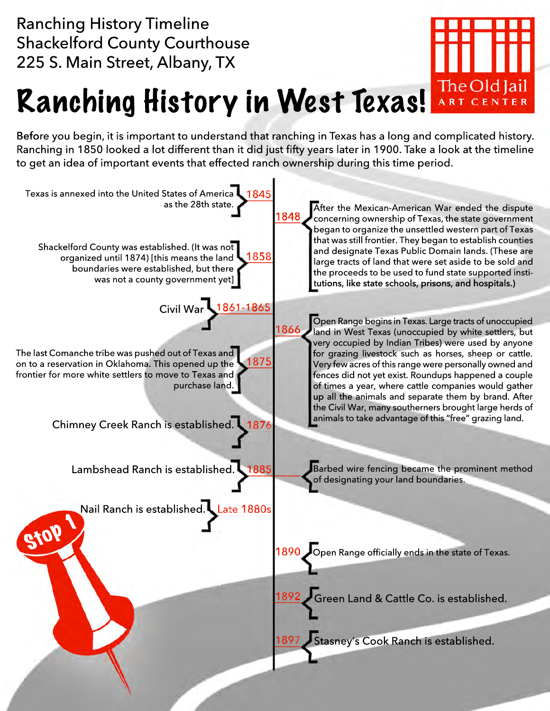Ranching History Timeline Shackelford County Courthouse 225 S. Main Street, Albany, TX



## Ranching History in West Texas! The Old Jail

Before you begin, it is important to understand that ranching in Texas has a long and complicated history. Ranching in 1850 looked a lot different than it did just fifty years later in 1900. Take a look at the timeline to get an idea of important events that effected ranch ownership during this time period.